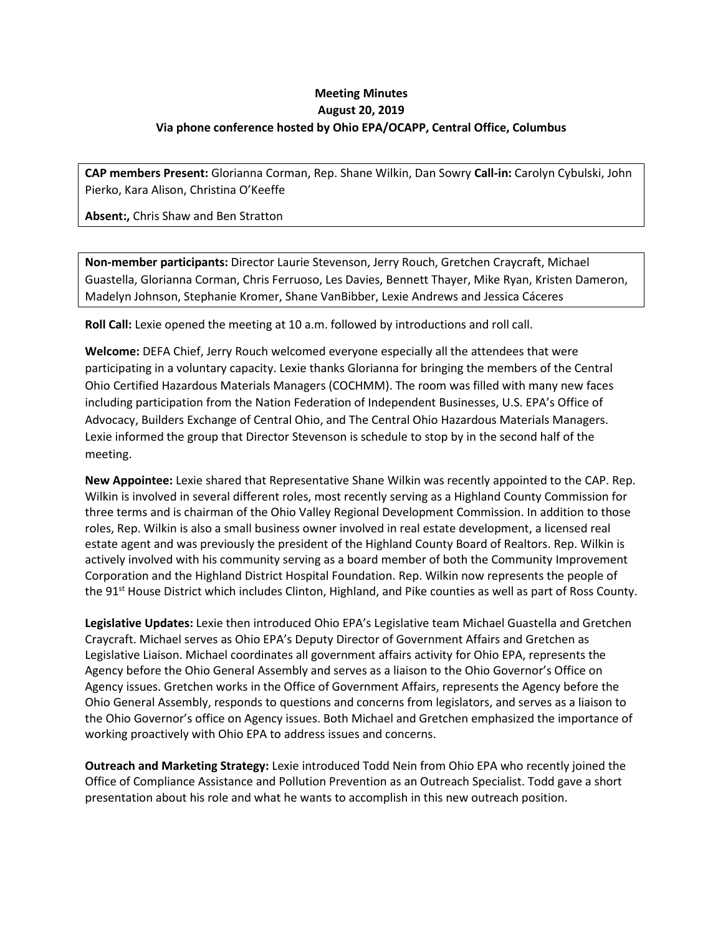## **Meeting Minutes August 20, 2019 Via phone conference hosted by Ohio EPA/OCAPP, Central Office, Columbus**

**CAP members Present:** Glorianna Corman, Rep. Shane Wilkin, Dan Sowry **Call-in:** Carolyn Cybulski, John Pierko, Kara Alison, Christina O'Keeffe

**Absent:,** Chris Shaw and Ben Stratton

**Non-member participants:** Director Laurie Stevenson, Jerry Rouch, Gretchen Craycraft, Michael Guastella, Glorianna Corman, Chris Ferruoso, Les Davies, Bennett Thayer, Mike Ryan, Kristen Dameron, Madelyn Johnson, Stephanie Kromer, Shane VanBibber, Lexie Andrews and Jessica Cáceres

**Roll Call:** Lexie opened the meeting at 10 a.m. followed by introductions and roll call.

**Welcome:** DEFA Chief, Jerry Rouch welcomed everyone especially all the attendees that were participating in a voluntary capacity. Lexie thanks Glorianna for bringing the members of the Central Ohio Certified Hazardous Materials Managers (COCHMM). The room was filled with many new faces including participation from the Nation Federation of Independent Businesses, U.S. EPA's Office of Advocacy, Builders Exchange of Central Ohio, and The Central Ohio Hazardous Materials Managers. Lexie informed the group that Director Stevenson is schedule to stop by in the second half of the meeting.

**New Appointee:** Lexie shared that Representative Shane Wilkin was recently appointed to the CAP. Rep. Wilkin is involved in several different roles, most recently serving as a Highland County Commission for three terms and is chairman of the Ohio Valley Regional Development Commission. In addition to those roles, Rep. Wilkin is also a small business owner involved in real estate development, a licensed real estate agent and was previously the president of the Highland County Board of Realtors. Rep. Wilkin is actively involved with his community serving as a board member of both the Community Improvement Corporation and the Highland District Hospital Foundation. Rep. Wilkin now represents the people of the 91<sup>st</sup> House District which includes Clinton, Highland, and Pike counties as well as part of Ross County.

**Legislative Updates:** Lexie then introduced Ohio EPA's Legislative team Michael Guastella and Gretchen Craycraft. Michael serves as Ohio EPA's Deputy Director of Government Affairs and Gretchen as Legislative Liaison. Michael coordinates all government affairs activity for Ohio EPA, represents the Agency before the Ohio General Assembly and serves as a liaison to the Ohio Governor's Office on Agency issues. Gretchen works in the Office of Government Affairs, represents the Agency before the Ohio General Assembly, responds to questions and concerns from legislators, and serves as a liaison to the Ohio Governor's office on Agency issues. Both Michael and Gretchen emphasized the importance of working proactively with Ohio EPA to address issues and concerns.

**Outreach and Marketing Strategy:** Lexie introduced Todd Nein from Ohio EPA who recently joined the Office of Compliance Assistance and Pollution Prevention as an Outreach Specialist. Todd gave a short presentation about his role and what he wants to accomplish in this new outreach position.